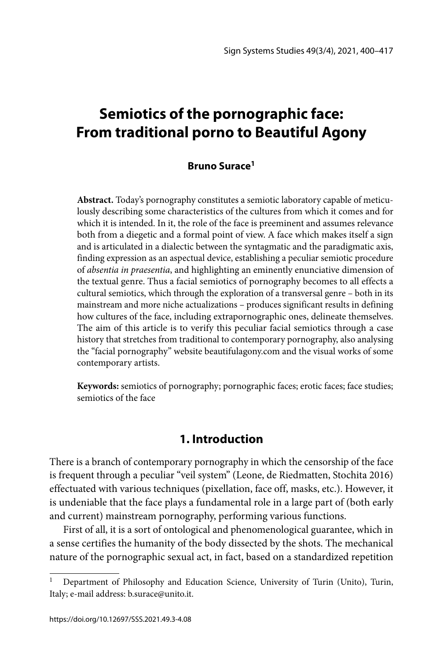# **Semiotics of the pornographic face: From traditional porno to Beautiful Agony**

### **Bruno Surace1**

**Abstract.** Today's pornography constitutes a semiotic laboratory capable of meticulously describing some characteristics of the cultures from which it comes and for which it is intended. In it, the role of the face is preeminent and assumes relevance both from a diegetic and a formal point of view. A face which makes itself a sign and is articulated in a dialectic between the syntagmatic and the paradigmatic axis, finding expression as an aspectual device, establishing a peculiar semiotic procedure of *absentia in praesentia*, and highlighting an eminently enunciative dimension of the textual genre. Thus a facial semiotics of pornography becomes to all effects a cultural semiotics, which through the exploration of a transversal genre – both in its mainstream and more niche actualizations – produces significant results in defining how cultures of the face, including extrapornographic ones, delineate themselves. The aim of this article is to verify this peculiar facial semiotics through a case history that stretches from traditional to contemporary pornography, also analysing the "facial pornography" website beautifulagony.com and the visual works of some contemporary artists.

**Keywords:** semiotics of pornography; pornographic faces; erotic faces; face studies; semiotics of the face

### **1. Introduction**

There is a branch of contemporary pornography in which the censorship of the face is frequent through a peculiar "veil system" (Leone, de Riedmatten, Stochita 2016) effectuated with various techniques (pixellation, face off, masks, etc.). However, it is undeniable that the face plays a fundamental role in a large part of (both early and current) mainstream pornography, performing various functions.

First of all, it is a sort of ontological and phenomenological guarantee, which in a sense certifies the humanity of the body dissected by the shots. The mechanical nature of the pornographic sexual act, in fact, based on a standardized repetition

Department of Philosophy and Education Science, University of Turin (Unito), Turin, Italy; e-mail address: b.surace@unito.it.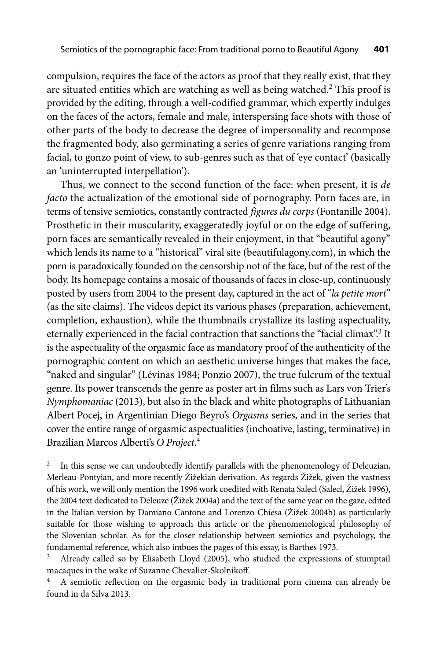compulsion, requires the face of the actors as proof that they really exist, that they are situated entities which are watching as well as being watched.<sup>2</sup> This proof is provided by the editing, through a well-codified grammar, which expertly indulges on the faces of the actors, female and male, interspersing face shots with those of other parts of the body to decrease the degree of impersonality and recompose the fragmented body, also germinating a series of genre variations ranging from facial, to gonzo point of view, to sub-genres such as that of 'eye contact' (basically an 'uninterrupted interpellation').

Thus, we connect to the second function of the face: when present, it is *de facto* the actualization of the emotional side of pornography. Porn faces are, in terms of tensive semiotics, constantly contracted *figures du corps* (Fontanille 2004). Prosthetic in their muscularity, exaggeratedly joyful or on the edge of suffering, porn faces are semantically revealed in their enjoyment, in that "beautiful agony" which lends its name to a "historical" viral site (beautifulagony.com), in which the porn is paradoxically founded on the censorship not of the face, but of the rest of the body. Its homepage contains a mosaic of thousands of faces in close-up, continuously posted by users from 2004 to the present day, captured in the act of "*la petite mort*" (as the site claims). The videos depict its various phases (preparation, achievement, completion, exhaustion), while the thumbnails crystallize its lasting aspectuality, eternally experienced in the facial contraction that sanctions the "facial climax".<sup>3</sup> It is the aspectuality of the orgasmic face as mandatory proof of the authenticity of the pornographic content on which an aesthetic universe hinges that makes the face, "naked and singular" (Lévinas 1984; Ponzio 2007), the true fulcrum of the textual genre. Its power transcends the genre as poster art in films such as Lars von Trier's *Nymphomaniac* (2013), but also in the black and white photographs of Lithuanian Albert Pocej, in Argentinian Diego Beyro's *Orgasms* series, and in the series that cover the entire range of orgasmic aspectualities (inchoative, lasting, terminative) in Brazilian Marcos Alberti's *O Project*. 4

<sup>2</sup> In this sense we can undoubtedly identify parallels with the phenomenology of Deleuzian, Merleau-Pontyian, and more recently Žižekian derivation. As regards Žižek, given the vastness of his work, we will only mention the 1996 work coedited with Renata Salecl (Salecl, Žižek 1996), the 2004 text dedicated to Deleuze (Žižek 2004a) and the text of the same year on the gaze, edited in the Italian version by Damiano Cantone and Lorenzo Chiesa (Žižek 2004b) as particularly suitable for those wishing to approach this article or the phenomenological philosophy of the Slovenian scholar. As for the closer relationship between semiotics and psychology, the fundamental reference, which also imbues the pages of this essay, is Barthes 1973.

<sup>&</sup>lt;sup>3</sup> Already called so by Elisabeth Lloyd (2005), who studied the expressions of stumptail macaques in the wake of Suzanne Chevalier-Skolnikoff.

<sup>&</sup>lt;sup>4</sup> A semiotic reflection on the orgasmic body in traditional porn cinema can already be found in da Silva 2013.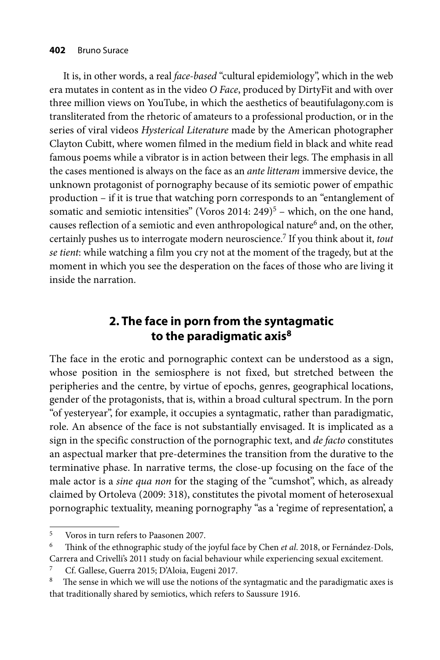It is, in other words, a real *face-based* "cultural epidemiology", which in the web era mutates in content as in the video *O Face*, produced by DirtyFit and with over three million views on YouTube, in which the aesthetics of beautifulagony.com is transliterated from the rhetoric of amateurs to a professional production, or in the series of viral videos *Hysterical Literature* made by the American photographer Clayton Cubitt, where women filmed in the medium field in black and white read famous poems while a vibrator is in action between their legs. The emphasis in all the cases mentioned is always on the face as an *ante litteram* immersive device, the unknown protagonist of pornography because of its semiotic power of empathic production – if it is true that watching porn corresponds to an "entanglement of somatic and semiotic intensities" (Voros 2014: 249)<sup>5</sup> – which, on the one hand, causes reflection of a semiotic and even anthropological nature<sup>6</sup> and, on the other, certainly pushes us to interrogate modern neuroscience.7 If you think about it, *tout se tient*: while watching a film you cry not at the moment of the tragedy, but at the moment in which you see the desperation on the faces of those who are living it inside the narration.

### **2. The face in porn from the syntagmatic to the paradigmatic axis8**

The face in the erotic and pornographic context can be understood as a sign, whose position in the semiosphere is not fixed, but stretched between the peripheries and the centre, by virtue of epochs, genres, geographical locations, gender of the protagonists, that is, within a broad cultural spectrum. In the porn "of yesteryear", for example, it occupies a syntagmatic, rather than paradigmatic, role. An absence of the face is not substantially envisaged. It is implicated as a sign in the specific construction of the pornographic text, and *de facto* constitutes an aspectual marker that pre-determines the transition from the durative to the terminative phase. In narrative terms, the close-up focusing on the face of the male actor is a *sine qua non* for the staging of the "cumshot", which, as already claimed by Ortoleva (2009: 318), constitutes the pivotal moment of heterosexual pornographic textuality, meaning pornography "as a 'regime of representation', a

<sup>5</sup> Voros in turn refers to Paasonen 2007. 6 Th ink of the ethnographic study of the joyful face by Chen *et al*. 2018, or Fernández-Dols, Carrera and Crivelli's 2011 study on facial behaviour while experiencing sexual excitement.

<sup>7</sup> Cf. Gallese, Guerra 2015; D'Aloia, Eugeni 2017.

<sup>&</sup>lt;sup>8</sup> The sense in which we will use the notions of the syntagmatic and the paradigmatic axes is that traditionally shared by semiotics, which refers to Saussure 1916.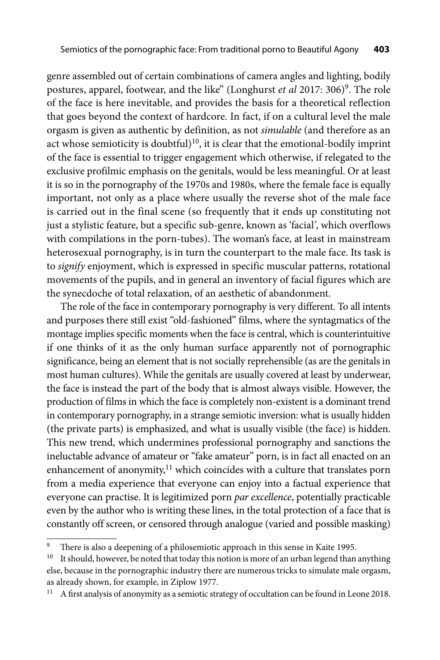genre assembled out of certain combinations of camera angles and lighting, bodily postures, apparel, footwear, and the like" (Longhurst et al 2017: 306)<sup>9</sup>. The role of the face is here inevitable, and provides the basis for a theoretical reflection that goes beyond the context of hardcore. In fact, if on a cultural level the male orgasm is given as authentic by definition, as not *simulable* (and therefore as an act whose semioticity is doubtful) $10$ , it is clear that the emotional-bodily imprint of the face is essential to trigger engagement which otherwise, if relegated to the exclusive profilmic emphasis on the genitals, would be less meaningful. Or at least it is so in the pornography of the 1970s and 1980s, where the female face is equally important, not only as a place where usually the reverse shot of the male face is carried out in the final scene (so frequently that it ends up constituting not just a stylistic feature, but a specific sub-genre, known as 'facial', which overflows with compilations in the porn-tubes). The woman's face, at least in mainstream heterosexual pornography, is in turn the counterpart to the male face. Its task is to *signify* enjoyment, which is expressed in specific muscular patterns, rotational movements of the pupils, and in general an inventory of facial figures which are the synecdoche of total relaxation, of an aesthetic of abandonment.

The role of the face in contemporary pornography is very different. To all intents and purposes there still exist "old-fashioned" films, where the syntagmatics of the montage implies specific moments when the face is central, which is counterintuitive if one thinks of it as the only human surface apparently not of pornographic significance, being an element that is not socially reprehensible (as are the genitals in most human cultures). While the genitals are usually covered at least by underwear, the face is instead the part of the body that is almost always visible. However, the production of films in which the face is completely non-existent is a dominant trend in contemporary pornography, in a strange semiotic inversion: what is usually hidden (the private parts) is emphasized, and what is usually visible (the face) is hidden. This new trend, which undermines professional pornography and sanctions the ineluctable advance of amateur or "fake amateur" porn, is in fact all enacted on an enhancement of anonymity, $11$  which coincides with a culture that translates porn from a media experience that everyone can enjoy into a factual experience that everyone can practise. It is legitimized porn *par excellence*, potentially practicable even by the author who is writing these lines, in the total protection of a face that is constantly off screen, or censored through analogue (varied and possible masking)

<sup>&</sup>lt;sup>9</sup> There is also a deepening of a philosemiotic approach in this sense in Kaite 1995.<br><sup>10</sup> It should, however, be noted that today this notion is more of an urban legend than anything

else, because in the pornographic industry there are numerous tricks to simulate male orgasm, as already shown, for example, in Ziplow 1977.

 $11$  A first analysis of anonymity as a semiotic strategy of occultation can be found in Leone 2018.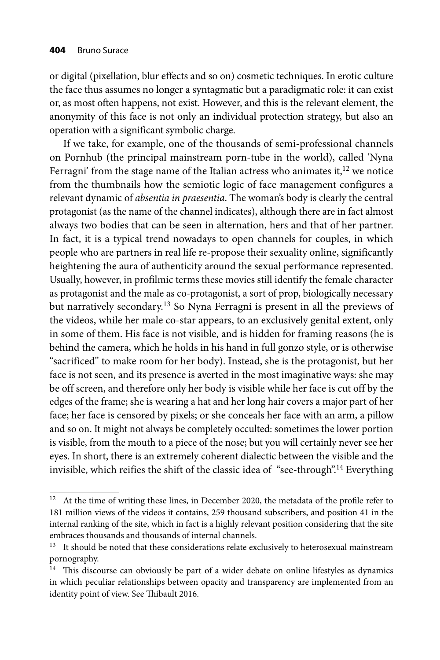or digital (pixellation, blur effects and so on) cosmetic techniques. In erotic culture the face thus assumes no longer a syntagmatic but a paradigmatic role: it can exist or, as most often happens, not exist. However, and this is the relevant element, the anonymity of this face is not only an individual protection strategy, but also an operation with a significant symbolic charge.

If we take, for example, one of the thousands of semi-professional channels on Pornhub (the principal mainstream porn-tube in the world), called 'Nyna Ferragni' from the stage name of the Italian actress who animates it, $12$  we notice from the thumbnails how the semiotic logic of face management configures a relevant dynamic of *absentia in praesentia*. The woman's body is clearly the central protagonist (as the name of the channel indicates), although there are in fact almost always two bodies that can be seen in alternation, hers and that of her partner. In fact, it is a typical trend nowadays to open channels for couples, in which people who are partners in real life re-propose their sexuality online, significantly heightening the aura of authenticity around the sexual performance represented. Usually, however, in profilmic terms these movies still identify the female character as protagonist and the male as co-protagonist, a sort of prop, biologically necessary but narratively secondary.13 So Nyna Ferragni is present in all the previews of the videos, while her male co-star appears, to an exclusively genital extent, only in some of them. His face is not visible, and is hidden for framing reasons (he is behind the camera, which he holds in his hand in full gonzo style, or is otherwise "sacrificed" to make room for her body). Instead, she is the protagonist, but her face is not seen, and its presence is averted in the most imaginative ways: she may be off screen, and therefore only her body is visible while her face is cut off by the edges of the frame; she is wearing a hat and her long hair covers a major part of her face; her face is censored by pixels; or she conceals her face with an arm, a pillow and so on. It might not always be completely occulted: sometimes the lower portion is visible, from the mouth to a piece of the nose; but you will certainly never see her eyes. In short, there is an extremely coherent dialectic between the visible and the invisible, which reifies the shift of the classic idea of "see-through".<sup>14</sup> Everything

 $12$  At the time of writing these lines, in December 2020, the metadata of the profile refer to 181 million views of the videos it contains, 259 thousand subscribers, and position 41 in the internal ranking of the site, which in fact is a highly relevant position considering that the site embraces thousands and thousands of internal channels.

<sup>&</sup>lt;sup>13</sup> It should be noted that these considerations relate exclusively to heterosexual mainstream pornography.

 $14$  This discourse can obviously be part of a wider debate on online lifestyles as dynamics in which peculiar relationships between opacity and transparency are implemented from an identity point of view. See Thibault 2016.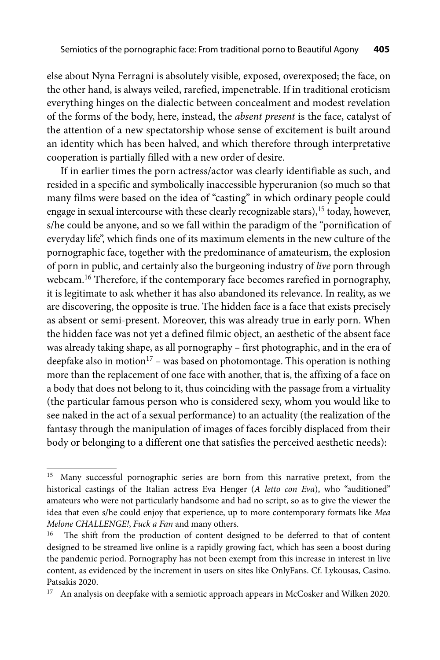else about Nyna Ferragni is absolutely visible, exposed, overexposed; the face, on the other hand, is always veiled, rarefied, impenetrable. If in traditional eroticism everything hinges on the dialectic between concealment and modest revelation of the forms of the body, here, instead, the *absent present* is the face, catalyst of the attention of a new spectatorship whose sense of excitement is built around an identity which has been halved, and which therefore through interpretative cooperation is partially filled with a new order of desire.

If in earlier times the porn actress/actor was clearly identifiable as such, and resided in a specific and symbolically inaccessible hyperuranion (so much so that many films were based on the idea of "casting" in which ordinary people could engage in sexual intercourse with these clearly recognizable stars),<sup>15</sup> today, however, s/he could be anyone, and so we fall within the paradigm of the "pornification of everyday life", which finds one of its maximum elements in the new culture of the pornographic face, together with the predominance of amateurism, the explosion of porn in public, and certainly also the burgeoning industry of *live* porn through webcam.16 Therefore, if the contemporary face becomes rarefied in pornography, it is legitimate to ask whether it has also abandoned its relevance. In reality, as we are discovering, the opposite is true. The hidden face is a face that exists precisely as absent or semi-present. Moreover, this was already true in early porn. When the hidden face was not yet a defined filmic object, an aesthetic of the absent face was already taking shape, as all pornography – first photographic, and in the era of deepfake also in motion<sup>17</sup> – was based on photomontage. This operation is nothing more than the replacement of one face with another, that is, the affixing of a face on a body that does not belong to it, thus coinciding with the passage from a virtuality (the particular famous person who is considered sexy, whom you would like to see naked in the act of a sexual performance) to an actuality (the realization of the fantasy through the manipulation of images of faces forcibly displaced from their body or belonging to a different one that satisfies the perceived aesthetic needs):

<sup>&</sup>lt;sup>15</sup> Many successful pornographic series are born from this narrative pretext, from the historical castings of the Italian actress Eva Henger (*A letto con Eva*), who "auditioned" amateurs who were not particularly handsome and had no script, so as to give the viewer the idea that even s/he could enjoy that experience, up to more contemporary formats like *Mea Melone CHALLENGE!*, *Fuck a Fan* and many others.

<sup>&</sup>lt;sup>16</sup> The shift from the production of content designed to be deferred to that of content designed to be streamed live online is a rapidly growing fact, which has seen a boost during the pandemic period. Pornography has not been exempt from this increase in interest in live content, as evidenced by the increment in users on sites like OnlyFans. Cf. Lykousas, Casino. Patsakis 2020.

 $17$  An analysis on deepfake with a semiotic approach appears in McCosker and Wilken 2020.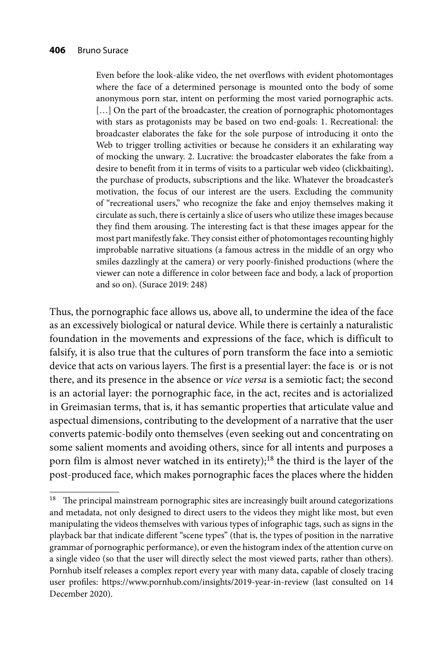Even before the look-alike video, the net overflows with evident photomontages where the face of a determined personage is mounted onto the body of some anonymous porn star, intent on performing the most varied pornographic acts. [...] On the part of the broadcaster, the creation of pornographic photomontages with stars as protagonists may be based on two end-goals: 1. Recreational: the broadcaster elaborates the fake for the sole purpose of introducing it onto the Web to trigger trolling activities or because he considers it an exhilarating way of mocking the unwary. 2. Lucrative: the broadcaster elaborates the fake from a desire to benefit from it in terms of visits to a particular web video (clickbaiting), the purchase of products, subscriptions and the like. Whatever the broadcaster's motivation, the focus of our interest are the users. Excluding the community of "recreational users," who recognize the fake and enjoy themselves making it circulate as such, there is certainly a slice of users who utilize these images because they find them arousing. The interesting fact is that these images appear for the most part manifestly fake. They consist either of photomontages recounting highly improbable narrative situations (a famous actress in the middle of an orgy who smiles dazzlingly at the camera) or very poorly-finished productions (where the viewer can note a difference in color between face and body, a lack of proportion and so on). (Surace 2019: 248)

Thus, the pornographic face allows us, above all, to undermine the idea of the face as an excessively biological or natural device. While there is certainly a naturalistic foundation in the movements and expressions of the face, which is difficult to falsify, it is also true that the cultures of porn transform the face into a semiotic device that acts on various layers. The first is a presential layer: the face is or is not there, and its presence in the absence or *vice versa* is a semiotic fact; the second is an actorial layer: the pornographic face, in the act, recites and is actorialized in Greimasian terms, that is, it has semantic properties that articulate value and aspectual dimensions, contributing to the development of a narrative that the user converts patemic-bodily onto themselves (even seeking out and concentrating on some salient moments and avoiding others, since for all intents and purposes a porn film is almost never watched in its entirety);<sup>18</sup> the third is the layer of the post-produced face, which makes pornographic faces the places where the hidden

 $18$  The principal mainstream pornographic sites are increasingly built around categorizations and metadata, not only designed to direct users to the videos they might like most, but even manipulating the videos themselves with various types of infographic tags, such as signs in the playback bar that indicate different "scene types" (that is, the types of position in the narrative grammar of pornographic performance), or even the histogram index of the attention curve on a single video (so that the user will directly select the most viewed parts, rather than others). Pornhub itself releases a complex report every year with many data, capable of closely tracing user profiles: https://www.pornhub.com/insights/2019-year-in-review (last consulted on 14 December 2020).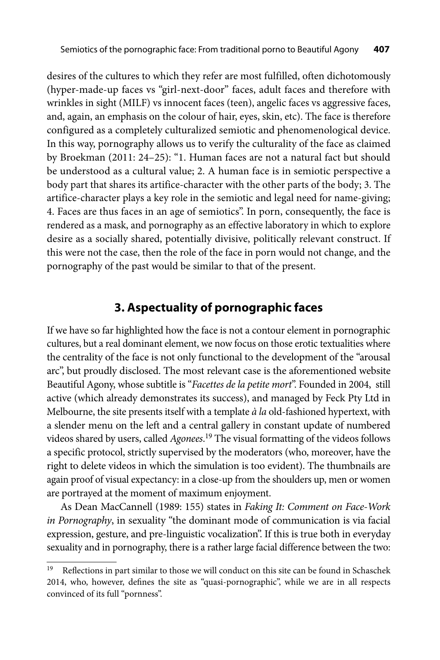desires of the cultures to which they refer are most fulfilled, often dichotomously (hyper-made-up faces vs "girl-next-door" faces, adult faces and therefore with wrinkles in sight (MILF) vs innocent faces (teen), angelic faces vs aggressive faces, and, again, an emphasis on the colour of hair, eyes, skin, etc). The face is therefore configured as a completely culturalized semiotic and phenomenological device. In this way, pornography allows us to verify the culturality of the face as claimed by Broekman (2011: 24–25): "1. Human faces are not a natural fact but should be understood as a cultural value; 2. A human face is in semiotic perspective a body part that shares its artifice-character with the other parts of the body; 3. The artifice-character plays a key role in the semiotic and legal need for name-giving; 4. Faces are thus faces in an age of semiotics". In porn, consequently, the face is rendered as a mask, and pornography as an effective laboratory in which to explore desire as a socially shared, potentially divisive, politically relevant construct. If this were not the case, then the role of the face in porn would not change, and the pornography of the past would be similar to that of the present.

### **3. Aspectuality of pornographic faces**

If we have so far highlighted how the face is not a contour element in pornographic cultures, but a real dominant element, we now focus on those erotic textualities where the centrality of the face is not only functional to the development of the "arousal arc", but proudly disclosed. The most relevant case is the aforementioned website Beautiful Agony, whose subtitle is "*Facettes de la petite mort*". Founded in 2004, still active (which already demonstrates its success), and managed by Feck Pty Ltd in Melbourne, the site presents itself with a template *à la* old-fashioned hypertext, with a slender menu on the left and a central gallery in constant update of numbered videos shared by users, called *Agonees*. 19 The visual formatting of the videos follows a specific protocol, strictly supervised by the moderators (who, moreover, have the right to delete videos in which the simulation is too evident). The thumbnails are again proof of visual expectancy: in a close-up from the shoulders up, men or women are portrayed at the moment of maximum enjoyment.

As Dean MacCannell (1989: 155) states in *Faking It: Comment on Face-Work in Pornography*, in sexuality "the dominant mode of communication is via facial expression, gesture, and pre-linguistic vocalization". If this is true both in everyday sexuality and in pornography, there is a rather large facial difference between the two:

<sup>&</sup>lt;sup>19</sup> Reflections in part similar to those we will conduct on this site can be found in Schaschek 2014, who, however, defines the site as "quasi-pornographic", while we are in all respects convinced of its full "pornness".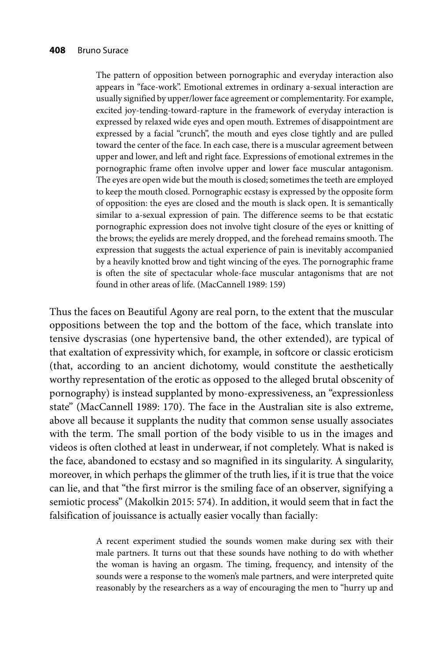The pattern of opposition between pornographic and everyday interaction also appears in "face-work". Emotional extremes in ordinary a-sexual interaction are usually signified by upper/lower face agreement or complementarity. For example, excited joy-tending-toward-rapture in the framework of everyday interaction is expressed by relaxed wide eyes and open mouth. Extremes of disappointment are expressed by a facial "crunch", the mouth and eyes close tightly and are pulled toward the center of the face. In each case, there is a muscular agreement between upper and lower, and left and right face. Expressions of emotional extremes in the pornographic frame often involve upper and lower face muscular antagonism. The eyes are open wide but the mouth is closed; sometimes the teeth are employed to keep the mouth closed. Pornographic ecstasy is expressed by the opposite form of opposition: the eyes are closed and the mouth is slack open. It is semantically similar to a-sexual expression of pain. The difference seems to be that ecstatic pornographic expression does not involve tight closure of the eyes or knitting of the brows; the eyelids are merely dropped, and the forehead remains smooth. The expression that suggests the actual experience of pain is inevitably accompanied by a heavily knotted brow and tight wincing of the eyes. The pornographic frame is often the site of spectacular whole-face muscular antagonisms that are not found in other areas of life. (MacCannell 1989: 159)

Thus the faces on Beautiful Agony are real porn, to the extent that the muscular oppositions between the top and the bottom of the face, which translate into tensive dyscrasias (one hypertensive band, the other extended), are typical of that exaltation of expressivity which, for example, in softcore or classic eroticism (that, according to an ancient dichotomy, would constitute the aesthetically worthy representation of the erotic as opposed to the alleged brutal obscenity of pornography) is instead supplanted by mono-expressiveness, an "expressionless state" (MacCannell 1989: 170). The face in the Australian site is also extreme, above all because it supplants the nudity that common sense usually associates with the term. The small portion of the body visible to us in the images and videos is often clothed at least in underwear, if not completely. What is naked is the face, abandoned to ecstasy and so magnified in its singularity. A singularity, moreover, in which perhaps the glimmer of the truth lies, if it is true that the voice can lie, and that "the first mirror is the smiling face of an observer, signifying a semiotic process" (Makolkin 2015: 574). In addition, it would seem that in fact the falsification of jouissance is actually easier vocally than facially:

> A recent experiment studied the sounds women make during sex with their male partners. It turns out that these sounds have nothing to do with whether the woman is having an orgasm. The timing, frequency, and intensity of the sounds were a response to the women's male partners, and were interpreted quite reasonably by the researchers as a way of encouraging the men to "hurry up and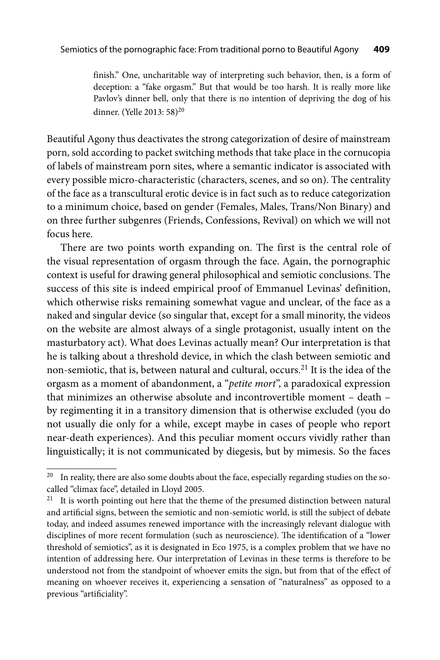finish." One, uncharitable way of interpreting such behavior, then, is a form of deception: a "fake orgasm." But that would be too harsh. It is really more like Pavlov's dinner bell, only that there is no intention of depriving the dog of his dinner. (Yelle 2013: 58)20

Beautiful Agony thus deactivates the strong categorization of desire of mainstream porn, sold according to packet switching methods that take place in the cornucopia of labels of mainstream porn sites, where a semantic indicator is associated with every possible micro-characteristic (characters, scenes, and so on). The centrality of the face as a transcultural erotic device is in fact such as to reduce categorization to a minimum choice, based on gender (Females, Males, Trans/Non Binary) and on three further subgenres (Friends, Confessions, Revival) on which we will not focus here.

There are two points worth expanding on. The first is the central role of the visual representation of orgasm through the face. Again, the pornographic context is useful for drawing general philosophical and semiotic conclusions. The success of this site is indeed empirical proof of Emmanuel Levinas' definition, which otherwise risks remaining somewhat vague and unclear, of the face as a naked and singular device (so singular that, except for a small minority, the videos on the website are almost always of a single protagonist, usually intent on the masturbatory act). What does Levinas actually mean? Our interpretation is that he is talking about a threshold device, in which the clash between semiotic and non-semiotic, that is, between natural and cultural, occurs.21 It is the idea of the orgasm as a moment of abandonment, a "*petite mort*", a paradoxical expression that minimizes an otherwise absolute and incontrovertible moment – death – by regimenting it in a transitory dimension that is otherwise excluded (you do not usually die only for a while, except maybe in cases of people who report near-death experiences). And this peculiar moment occurs vividly rather than linguistically; it is not communicated by diegesis, but by mimesis. So the faces

<sup>&</sup>lt;sup>20</sup> In reality, there are also some doubts about the face, especially regarding studies on the socalled "climax face", detailed in Lloyd 2005.

 $21$  It is worth pointing out here that the theme of the presumed distinction between natural and artificial signs, between the semiotic and non-semiotic world, is still the subject of debate today, and indeed assumes renewed importance with the increasingly relevant dialogue with disciplines of more recent formulation (such as neuroscience). The identification of a "lower threshold of semiotics", as it is designated in Eco 1975, is a complex problem that we have no intention of addressing here. Our interpretation of Levinas in these terms is therefore to be understood not from the standpoint of whoever emits the sign, but from that of the effect of meaning on whoever receives it, experiencing a sensation of "naturalness" as opposed to a previous "artificiality".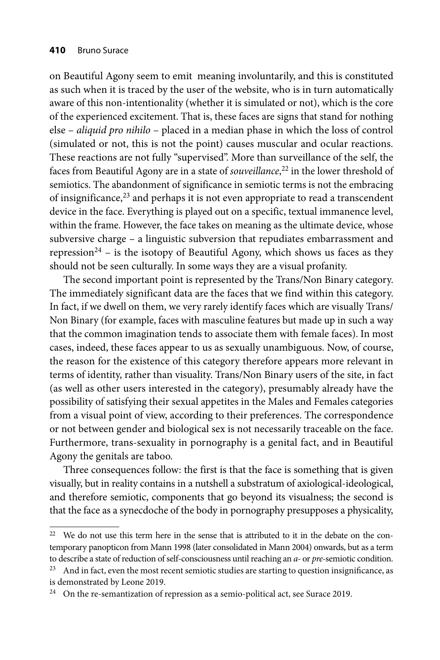on Beautiful Agony seem to emit meaning involuntarily, and this is constituted as such when it is traced by the user of the website, who is in turn automatically aware of this non-intentionality (whether it is simulated or not), which is the core of the experienced excitement. That is, these faces are signs that stand for nothing else – *aliquid pro nihilo* – placed in a median phase in which the loss of control (simulated or not, this is not the point) causes muscular and ocular reactions. These reactions are not fully "supervised". More than surveillance of the self, the faces from Beautiful Agony are in a state of *souveillance*, 22 in the lower threshold of semiotics. The abandonment of significance in semiotic terms is not the embracing of insignificance, $23$  and perhaps it is not even appropriate to read a transcendent device in the face. Everything is played out on a specific, textual immanence level, within the frame. However, the face takes on meaning as the ultimate device, whose subversive charge – a linguistic subversion that repudiates embarrassment and repression<sup>24</sup> – is the isotopy of Beautiful Agony, which shows us faces as they should not be seen culturally. In some ways they are a visual profanity.

The second important point is represented by the Trans/Non Binary category. The immediately significant data are the faces that we find within this category. In fact, if we dwell on them, we very rarely identify faces which are visually Trans/ Non Binary (for example, faces with masculine features but made up in such a way that the common imagination tends to associate them with female faces). In most cases, indeed, these faces appear to us as sexually unambiguous. Now, of course, the reason for the existence of this category therefore appears more relevant in terms of identity, rather than visuality. Trans/Non Binary users of the site, in fact (as well as other users interested in the category), presumably already have the possibility of satisfying their sexual appetites in the Males and Females categories from a visual point of view, according to their preferences. The correspondence or not between gender and biological sex is not necessarily traceable on the face. Furthermore, trans-sexuality in pornography is a genital fact, and in Beautiful Agony the genitals are taboo.

Three consequences follow: the first is that the face is something that is given visually, but in reality contains in a nutshell a substratum of axiological-ideological, and therefore semiotic, components that go beyond its visualness; the second is that the face as a synecdoche of the body in pornography presupposes a physicality,

 $22$  We do not use this term here in the sense that is attributed to it in the debate on the contemporary panopticon from Mann 1998 (later consolidated in Mann 2004) onwards, but as a term to describe a state of reduction of self-consciousness until reaching an *a-* or *pre-*semiotic condition.

 $23$  And in fact, even the most recent semiotic studies are starting to question insignificance, as is demonstrated by Leone 2019.

<sup>&</sup>lt;sup>24</sup> On the re-semantization of repression as a semio-political act, see Surace 2019.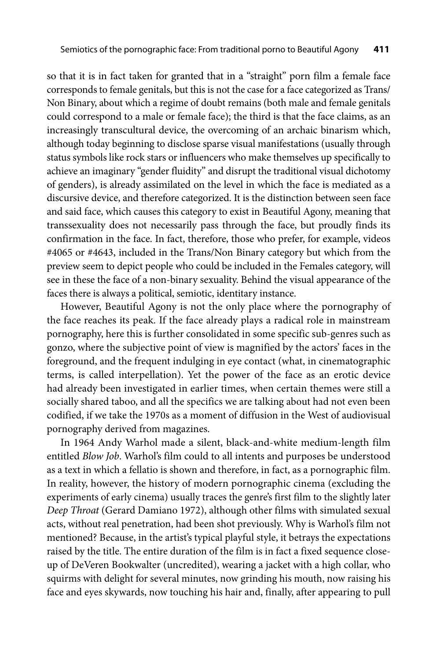so that it is in fact taken for granted that in a "straight" porn film a female face corresponds to female genitals, but this is not the case for a face categorized as Trans/ Non Binary, about which a regime of doubt remains (both male and female genitals could correspond to a male or female face); the third is that the face claims, as an increasingly transcultural device, the overcoming of an archaic binarism which, although today beginning to disclose sparse visual manifestations (usually through status symbols like rock stars or influencers who make themselves up specifically to achieve an imaginary "gender fluidity" and disrupt the traditional visual dichotomy of genders), is already assimilated on the level in which the face is mediated as a discursive device, and therefore categorized. It is the distinction between seen face and said face, which causes this category to exist in Beautiful Agony, meaning that transsexuality does not necessarily pass through the face, but proudly finds its confirmation in the face. In fact, therefore, those who prefer, for example, videos #4065 or #4643, included in the Trans/Non Binary category but which from the preview seem to depict people who could be included in the Females category, will see in these the face of a non-binary sexuality. Behind the visual appearance of the faces there is always a political, semiotic, identitary instance.

However, Beautiful Agony is not the only place where the pornography of the face reaches its peak. If the face already plays a radical role in mainstream pornography, here this is further consolidated in some specific sub-genres such as gonzo, where the subjective point of view is magnified by the actors' faces in the foreground, and the frequent indulging in eye contact (what, in cinematographic terms, is called interpellation). Yet the power of the face as an erotic device had already been investigated in earlier times, when certain themes were still a socially shared taboo, and all the specifics we are talking about had not even been codified, if we take the 1970s as a moment of diffusion in the West of audiovisual pornography derived from magazines.

In 1964 Andy Warhol made a silent, black-and-white medium-length film entitled *Blow Job*. Warhol's film could to all intents and purposes be understood as a text in which a fellatio is shown and therefore, in fact, as a pornographic film. In reality, however, the history of modern pornographic cinema (excluding the experiments of early cinema) usually traces the genre's first film to the slightly later *Deep Throat* (Gerard Damiano 1972), although other films with simulated sexual acts, without real penetration, had been shot previously. Why is Warhol's film not mentioned? Because, in the artist's typical playful style, it betrays the expectations raised by the title. The entire duration of the film is in fact a fixed sequence closeup of DeVeren Bookwalter (uncredited), wearing a jacket with a high collar, who squirms with delight for several minutes, now grinding his mouth, now raising his face and eyes skywards, now touching his hair and, finally, after appearing to pull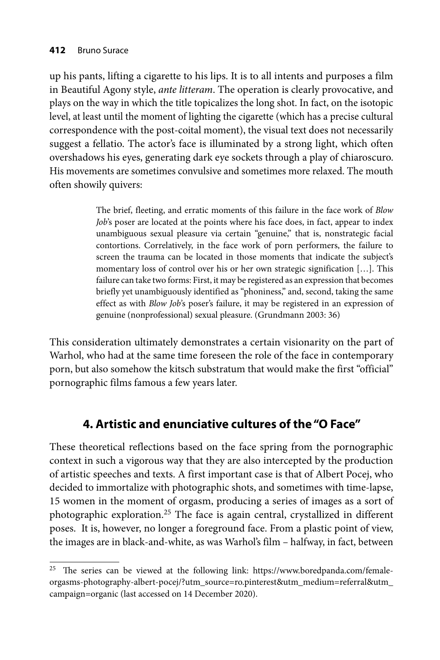up his pants, lifting a cigarette to his lips. It is to all intents and purposes a film in Beautiful Agony style, *ante litteram*. The operation is clearly provocative, and plays on the way in which the title topicalizes the long shot. In fact, on the isotopic level, at least until the moment of lighting the cigarette (which has a precise cultural correspondence with the post-coital moment), the visual text does not necessarily suggest a fellatio. The actor's face is illuminated by a strong light, which often overshadows his eyes, generating dark eye sockets through a play of chiaroscuro. His movements are sometimes convulsive and sometimes more relaxed. The mouth often showily quivers:

> The brief, fleeting, and erratic moments of this failure in the face work of *Blow Job*'s poser are located at the points where his face does, in fact, appear to index unambiguous sexual pleasure via certain "genuine," that is, nonstrategic facial contortions. Correlatively, in the face work of porn performers, the failure to screen the trauma can be located in those moments that indicate the subject's momentary loss of control over his or her own strategic signification […]. This failure can take two forms: First, it may be registered as an expression that becomes briefly yet unambiguously identified as "phoniness," and, second, taking the same effect as with *Blow Job'*s poser's failure, it may be registered in an expression of genuine (nonprofessional) sexual pleasure. (Grundmann 2003: 36)

This consideration ultimately demonstrates a certain visionarity on the part of Warhol, who had at the same time foreseen the role of the face in contemporary porn, but also somehow the kitsch substratum that would make the first "official" pornographic films famous a few years later.

## **4. Artistic and enunciative cultures of the "O Face"**

These theoretical reflections based on the face spring from the pornographic context in such a vigorous way that they are also intercepted by the production of artistic speeches and texts. A first important case is that of Albert Pocej, who decided to immortalize with photographic shots, and sometimes with time-lapse, 15 women in the moment of orgasm, producing a series of images as a sort of photographic exploration.<sup>25</sup> The face is again central, crystallized in different poses. It is, however, no longer a foreground face. From a plastic point of view, the images are in black-and-white, as was Warhol's film – halfway, in fact, between

<sup>&</sup>lt;sup>25</sup> The series can be viewed at the following link: https://www.boredpanda.com/femaleorgasms-photography-albert-pocej/?utm\_source=ro.pinterest&utm\_medium=referral&utm\_ campaign=organic (last accessed on 14 December 2020).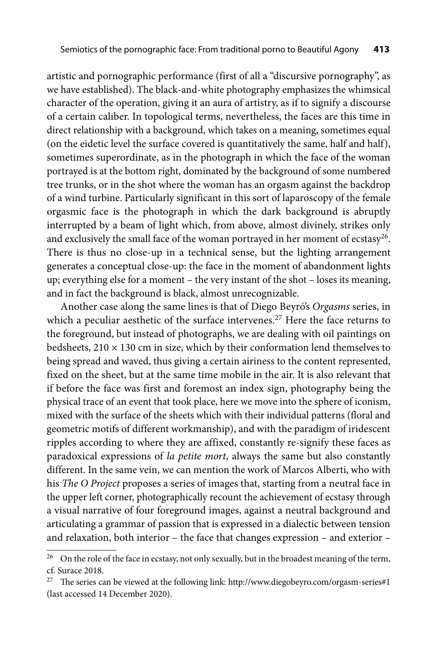artistic and pornographic performance (first of all a "discursive pornography", as we have established). The black-and-white photography emphasizes the whimsical character of the operation, giving it an aura of artistry, as if to signify a discourse of a certain caliber. In topological terms, nevertheless, the faces are this time in direct relationship with a background, which takes on a meaning, sometimes equal (on the eidetic level the surface covered is quantitatively the same, half and half), sometimes superordinate, as in the photograph in which the face of the woman portrayed is at the bottom right, dominated by the background of some numbered tree trunks, or in the shot where the woman has an orgasm against the backdrop of a wind turbine. Particularly significant in this sort of laparoscopy of the female orgasmic face is the photograph in which the dark background is abruptly interrupted by a beam of light which, from above, almost divinely, strikes only and exclusively the small face of the woman portrayed in her moment of ecstasy<sup>26</sup>. There is thus no close-up in a technical sense, but the lighting arrangement generates a conceptual close-up: the face in the moment of abandonment lights up; everything else for a moment – the very instant of the shot – loses its meaning, and in fact the background is black, almost unrecognizable.

Another case along the same lines is that of Diego Beyró's *Orgasms* series, in which a peculiar aesthetic of the surface intervenes.<sup>27</sup> Here the face returns to the foreground, but instead of photographs, we are dealing with oil paintings on bedsheets,  $210 \times 130$  cm in size, which by their conformation lend themselves to being spread and waved, thus giving a certain airiness to the content represented, fixed on the sheet, but at the same time mobile in the air. It is also relevant that if before the face was first and foremost an index sign, photography being the physical trace of an event that took place, here we move into the sphere of iconism, mixed with the surface of the sheets which with their individual patterns (floral and geometric motifs of different workmanship), and with the paradigm of iridescent ripples according to where they are affixed, constantly re-signify these faces as paradoxical expressions of *la petite mort*, always the same but also constantly different. In the same vein, we can mention the work of Marcos Alberti, who with his *The O Project* proposes a series of images that, starting from a neutral face in the upper left corner, photographically recount the achievement of ecstasy through a visual narrative of four foreground images, against a neutral background and articulating a grammar of passion that is expressed in a dialectic between tension and relaxation, both interior – the face that changes expression – and exterior –

 $^{26}$  On the role of the face in ecstasy, not only sexually, but in the broadest meaning of the term, cf. Surace 2018.

<sup>&</sup>lt;sup>27</sup> The series can be viewed at the following link: http://www.diegobeyro.com/orgasm-series#1 (last accessed 14 December 2020).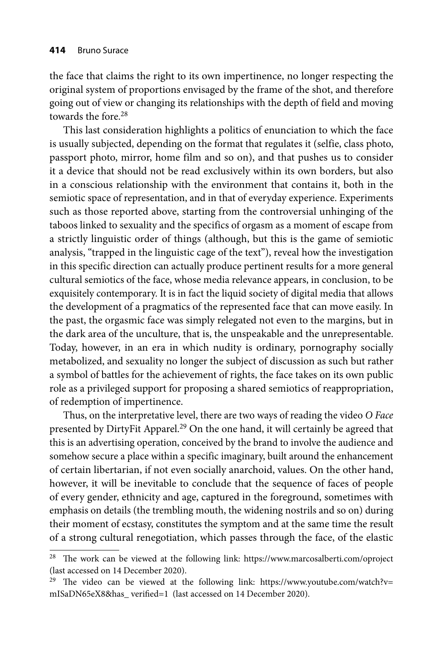the face that claims the right to its own impertinence, no longer respecting the original system of proportions envisaged by the frame of the shot, and therefore going out of view or changing its relationships with the depth of field and moving towards the fore.<sup>28</sup>

This last consideration highlights a politics of enunciation to which the face is usually subjected, depending on the format that regulates it (selfie, class photo, passport photo, mirror, home film and so on), and that pushes us to consider it a device that should not be read exclusively within its own borders, but also in a conscious relationship with the environment that contains it, both in the semiotic space of representation, and in that of everyday experience. Experiments such as those reported above, starting from the controversial unhinging of the taboos linked to sexuality and the specifics of orgasm as a moment of escape from a strictly linguistic order of things (although, but this is the game of semiotic analysis, "trapped in the linguistic cage of the text"), reveal how the investigation in this specific direction can actually produce pertinent results for a more general cultural semiotics of the face, whose media relevance appears, in conclusion, to be exquisitely contemporary. It is in fact the liquid society of digital media that allows the development of a pragmatics of the represented face that can move easily. In the past, the orgasmic face was simply relegated not even to the margins, but in the dark area of the unculture, that is, the unspeakable and the unrepresentable. Today, however, in an era in which nudity is ordinary, pornography socially metabolized, and sexuality no longer the subject of discussion as such but rather a symbol of battles for the achievement of rights, the face takes on its own public role as a privileged support for proposing a shared semiotics of reappropriation, of redemption of impertinence.

Thus, on the interpretative level, there are two ways of reading the video *O Face*  presented by DirtyFit Apparel.<sup>29</sup> On the one hand, it will certainly be agreed that this is an advertising operation, conceived by the brand to involve the audience and somehow secure a place within a specific imaginary, built around the enhancement of certain libertarian, if not even socially anarchoid, values. On the other hand, however, it will be inevitable to conclude that the sequence of faces of people of every gender, ethnicity and age, captured in the foreground, sometimes with emphasis on details (the trembling mouth, the widening nostrils and so on) during their moment of ecstasy, constitutes the symptom and at the same time the result of a strong cultural renegotiation, which passes through the face, of the elastic

 $28$  The work can be viewed at the following link: https://www.marcosalberti.com/oproject (last accessed on 14 December 2020).

<sup>&</sup>lt;sup>29</sup> The video can be viewed at the following link: https://www.youtube.com/watch?v= mISaDN65eX8&has\_verified=1 (last accessed on 14 December 2020).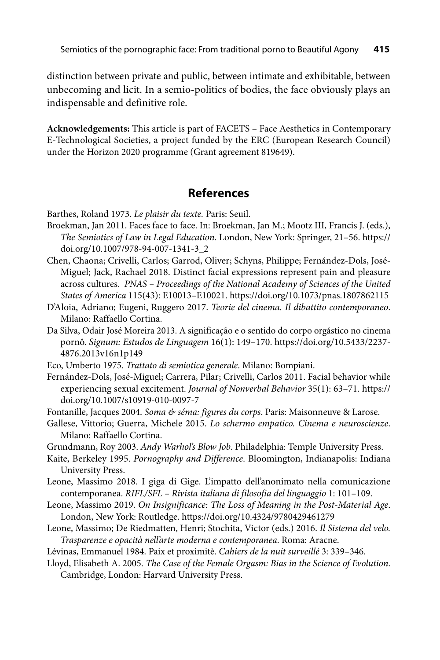distinction between private and public, between intimate and exhibitable, between unbecoming and licit. In a semio-politics of bodies, the face obviously plays an indispensable and definitive role.

Acknowledgements: This article is part of FACETS – Face Aesthetics in Contemporary E-Technological Societies, a project funded by the ERC (European Research Council) under the Horizon 2020 programme (Grant agreement 819649).

### **References**

Barthes, Roland 1973. *Le plaisir du texte.* Paris: Seuil.

- Broekman, Jan 2011. Faces face to face. In: Broekman, Jan M.; Mootz III, Francis J. (eds.), *The Semiotics of Law in Legal Education*. London, New York: Springer, 21–56. https:// doi.org/10.1007/978-94-007-1341-3\_2
- Chen, Chaona; Crivelli, Carlos; Garrod, Oliver; Schyns, Philippe; Fernández-Dols, José-Miguel; Jack, Rachael 2018. Distinct facial expressions represent pain and pleasure across cultures. *PNAS – Proceedings of the National Academy of Sciences of the United States of America* 115(43): E10013–E10021. https://doi.org/10.1073/pnas.1807862115
- D'Aloia, Adriano; Eugeni, Ruggero 2017. *Teorie del cinema. Il dibattito contemporaneo*. Milano: Raffaello Cortina.
- Da Silva, Odair José Moreira 2013. A significação e o sentido do corpo orgástico no cinema pornô. *Signum: Estudos de Linguagem* 16(1): 149–170. https://doi.org/10.5433/2237- 4876.2013v16n1p149
- Eco, Umberto 1975. *Trattato di semiotica generale*. Milano: Bompiani.
- Fernández-Dols, José-Miguel; Carrera, Pilar; Crivelli, Carlos 2011. Facial behavior while experiencing sexual excitement. *Journal of Nonverbal Behavior* 35(1): 63–71. https:// doi.org/10.1007/s10919-010-0097-7
- Fontanille, Jacques 2004. *Soma & séma: figures du corps*. Paris: Maisonneuve & Larose.
- Gallese, Vittorio; Guerra, Michele 2015. *Lo schermo empatico. Cinema e neuroscienze*. Milano: Raffaello Cortina.
- Grundmann, Roy 2003. *Andy Warhol's Blow Job*. Philadelphia: Temple University Press.
- Kaite, Berkeley 1995. *Pornography and Difference*. Bloomington, Indianapolis: Indiana University Press.
- Leone, Massimo 2018. I giga di Gige. L'impatto dell'anonimato nella comunicazione contemporanea. *RIFL/SFL – Rivista italiana di filosofia del linguaggio* 1: 101–109.
- Leone, Massimo 2019. *On Insignificance: The Loss of Meaning in the Post-Material Age*. London, New York: Routledge. https://doi.org/10.4324/9780429461279
- Leone, Massimo; De Riedmatten, Henri; Stochita, Victor (eds.) 2016. *Il Sistema del velo. Trasparenze e opacità nell'arte moderna e contemporanea*. Roma: Aracne.
- Lévinas, Emmanuel 1984. Paix et proximitè. *Cahiers de la nuit surveillé* 3: 339–346.
- Lloyd, Elisabeth A. 2005. *The Case of the Female Orgasm: Bias in the Science of Evolution*. Cambridge, London: Harvard University Press.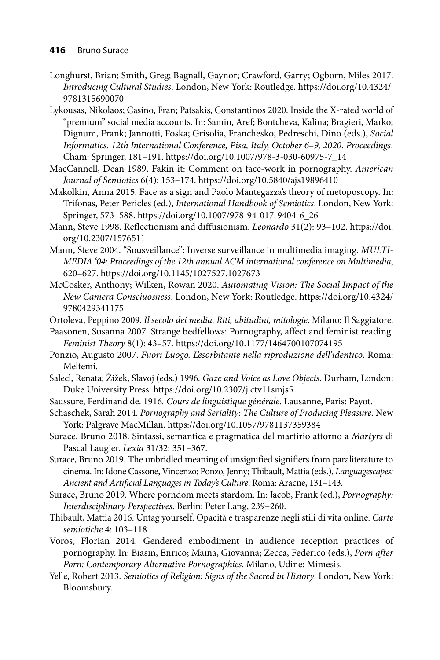- Longhurst, Brian; Smith, Greg; Bagnall, Gaynor; Crawford, Garry; Ogborn, Miles 2017. *Introducing Cultural Studies*[. London, New York: Routledge. https://doi.org/10.4324/](https://doi.org/10.4324/9781315690070) 9781315690070
- Lykousas, Nikolaos; Casino, Fran; Patsakis, Constantinos 2020. Inside the X-rated world of "premium" social media accounts. In: Samin, Aref; Bontcheva, Kalina; Bragieri, Marko; Dignum, Frank; Jannotti, Foska; Grisolia, Franchesko; Pedreschi, Dino (eds.), *Social Informatics. 12th International Conference, Pisa, Italy, October 6–9, 2020. Proceedings*. Cham: Springer, 181–191. https://doi.org/10.1007/978-3-030-60975-7\_14
- MacCannell, Dean 1989. Fakin it: Comment on face-work in pornography. *American Journal of Semiotics* 6(4): 153–174. https://doi.org/10.5840/ajs19896410
- Makolkin, Anna 2015. Face as a sign and Paolo Mantegazza's theory of metoposcopy. In: Trifonas, Peter Pericles (ed.), *International Handbook of Semiotics*. London, New York: Springer, 573–588. https://doi.org/10.1007/978-94-017-9404-6\_26
- Ma[nn, Steve 1998. Reflectionism and diffusionism.](https://doi.org/10.2307/1576511) *Leonardo* 31(2): 93–102. https://doi. org/10.2307/1576511
- Mann, Steve 2004. "Sousveillance": Inverse surveillance in multimedia imaging. *MULTI-MEDIA '04: Proceedings of the 12th annual ACM international conference on Multimedia*, 620–627. https://doi.org/10.1145/1027527.1027673
- McCosker, Anthony; Wilken, Rowan 2020. *Automating Vision: The Social Impact of the New Camera Consciuosness*[. London, New York: Routledge. https://doi.org/10.4324/](https://doi.org/10.4324/9780429341175) 9780429341175

Ortoleva, Peppino 2009. *Il secolo dei media. Riti, abitudini, mitologie*. Milano: Il Saggiatore.

- Paasonen, Susanna 2007. Strange bedfellows: Pornography, affect and feminist reading. *Feminist Theory* 8(1): 43–57. https://doi.org/10.1177/1464700107074195
- Ponzio, Augusto 2007. *Fuori Luogo. L'esorbitante nella riproduzione dell'identico*. Roma: Meltemi.
- Salecl, Renata; Žižek, Slavoj (eds.) 1996*. Gaze and Voice as Love Objects*. Durham, London: Duke University Press. https://doi.org/10.2307/j.ctv11smjs5
- Saussure, Ferdinand de. 1916*. Cours de linguistique générale*. Lausanne, Paris: Payot.
- Schaschek, Sarah 2014. *Pornography and Seriality: The Culture of Producing Pleasure*. New York: Palgrave MacMillan. https://doi.org/10.1057/9781137359384
- Surace, Bruno 2018. Sintassi, semantica e pragmatica del martirio attorno a *Martyrs* di Pascal Laugier. *Lexia* 31/32: 351–367.
- Surace, Bruno 2019. The unbridled meaning of unsignified signifiers from paraliterature to cinema. In: Idone Cassone, Vincenzo; Ponzo, Jenny; Thibault, Mattia (eds.), *Languagescapes: Ancient and Artificial Languages in Today's Culture*. Roma: Aracne, 131–143.
- Surace, Bruno 2019. Where porndom meets stardom. In: Jacob, Frank (ed.), *Pornography: Interdisciplinary Perspectives*. Berlin: Peter Lang, 239–260.
- Thibault, Mattia 2016. Untag yourself. Opacità e trasparenze negli stili di vita online. *Carte semiotiche* 4: 103–118.
- Voros, Florian 2014. Gendered embodiment in audience reception practices of pornography. In: Biasin, Enrico; Maina, Giovanna; Zecca, Federico (eds.), *Porn after Porn: Contemporary Alternative Pornographies*. Milano, Udine: Mimesis.
- Yelle, Robert 2013. *Semiotics of Religion: Signs of the Sacred in History*. London, New York: Bloomsbury.